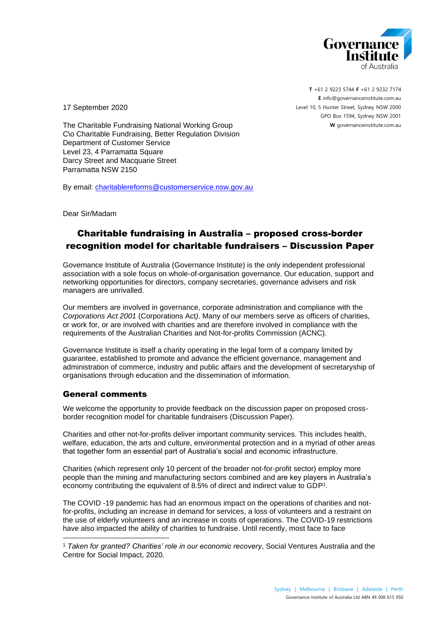

**T** +61 2 9223 5744 **F** +61 2 9232 7174 **E** [info@governanceinstitute.com.au](mailto:info@governanceinstitute.com.au) Level 10, 5 Hunter Street, Sydney NSW 2000 GPO Box 1594, Sydney NSW 2001 **W** governanceinstitute.com.au

17 September 2020

The Charitable Fundraising National Working Group C\o Charitable Fundraising, Better Regulation Division Department of Customer Service Level 23, 4 Parramatta Square Darcy Street and Macquarie Street Parramatta NSW 2150

By email: [charitablereforms@customerservice.nsw.gov.au](mailto:charitablereforms@customerservice.nsw.gov.au)

Dear Sir/Madam

## Charitable fundraising in Australia – proposed cross-border recognition model for charitable fundraisers – Discussion Paper

Governance Institute of Australia (Governance Institute) is the only independent professional association with a sole focus on whole-of-organisation governance. Our education, support and networking opportunities for directors, company secretaries, governance advisers and risk managers are unrivalled.

Our members are involved in governance, corporate administration and compliance with the *Corporations Act 2001* (Corporations Act*)*. Many of our members serve as officers of charities, or work for, or are involved with charities and are therefore involved in compliance with the requirements of the Australian Charities and Not-for-profits Commission (ACNC).

Governance Institute is itself a charity operating in the legal form of a company limited by guarantee, established to promote and advance the efficient governance, management and administration of commerce, industry and public affairs and the development of secretaryship of organisations through education and the dissemination of information.

## General comments

We welcome the opportunity to provide feedback on the discussion paper on proposed crossborder recognition model for charitable fundraisers (Discussion Paper).

Charities and other not-for-profits deliver important community services. This includes health, welfare, education, the arts and culture, environmental protection and in a myriad of other areas that together form an essential part of Australia's social and economic infrastructure.

Charities (which represent only 10 percent of the broader not-for-profit sector) employ more people than the mining and manufacturing sectors combined and are key players in Australia's economy contributing the equivalent of 8.5% of direct and indirect value to GDP<sup>1</sup> .

The COVID -19 pandemic has had an enormous impact on the operations of charities and notfor-profits, including an increase in demand for services, a loss of volunteers and a restraint on the use of elderly volunteers and an increase in costs of operations. The COVID-19 restrictions have also impacted the ability of charities to fundraise. Until recently, most face to face

<sup>1</sup> *Taken for granted? Charities' role in our economic recovery*, Social Ventures Australia and the Centre for Social Impact, 2020.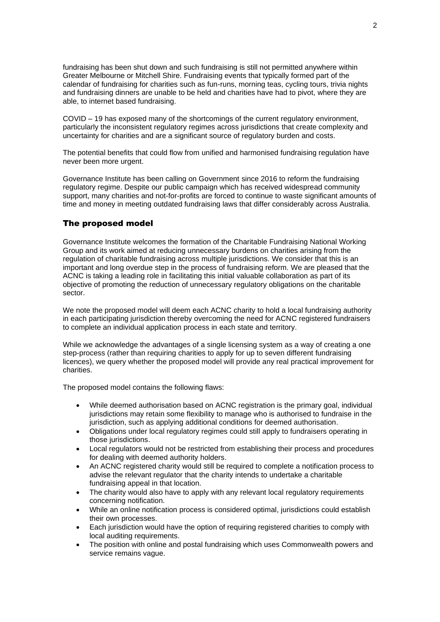fundraising has been shut down and such fundraising is still not permitted anywhere within Greater Melbourne or Mitchell Shire. Fundraising events that typically formed part of the calendar of fundraising for charities such as fun-runs, morning teas, cycling tours, trivia nights and fundraising dinners are unable to be held and charities have had to pivot, where they are able, to internet based fundraising.

COVID – 19 has exposed many of the shortcomings of the current regulatory environment, particularly the inconsistent regulatory regimes across jurisdictions that create complexity and uncertainty for charities and are a significant source of regulatory burden and costs.

The potential benefits that could flow from unified and harmonised fundraising regulation have never been more urgent.

Governance Institute has been calling on Government since 2016 to reform the fundraising regulatory regime. Despite our public campaign which has received widespread community support, many charities and not-for-profits are forced to continue to waste significant amounts of time and money in meeting outdated fundraising laws that differ considerably across Australia.

## The proposed model

Governance Institute welcomes the formation of the Charitable Fundraising National Working Group and its work aimed at reducing unnecessary burdens on charities arising from the regulation of charitable fundraising across multiple jurisdictions. We consider that this is an important and long overdue step in the process of fundraising reform. We are pleased that the ACNC is taking a leading role in facilitating this initial valuable collaboration as part of its objective of promoting the reduction of unnecessary regulatory obligations on the charitable sector.

We note the proposed model will deem each ACNC charity to hold a local fundraising authority in each participating jurisdiction thereby overcoming the need for ACNC registered fundraisers to complete an individual application process in each state and territory.

While we acknowledge the advantages of a single licensing system as a way of creating a one step-process (rather than requiring charities to apply for up to seven different fundraising licences), we query whether the proposed model will provide any real practical improvement for charities.

The proposed model contains the following flaws:

- While deemed authorisation based on ACNC registration is the primary goal, individual jurisdictions may retain some flexibility to manage who is authorised to fundraise in the jurisdiction, such as applying additional conditions for deemed authorisation.
- Obligations under local regulatory regimes could still apply to fundraisers operating in those jurisdictions.
- Local regulators would not be restricted from establishing their process and procedures for dealing with deemed authority holders.
- An ACNC registered charity would still be required to complete a notification process to advise the relevant regulator that the charity intends to undertake a charitable fundraising appeal in that location.
- The charity would also have to apply with any relevant local regulatory requirements concerning notification.
- While an online notification process is considered optimal, jurisdictions could establish their own processes.
- Each jurisdiction would have the option of requiring registered charities to comply with local auditing requirements.
- The position with online and postal fundraising which uses Commonwealth powers and service remains vague.